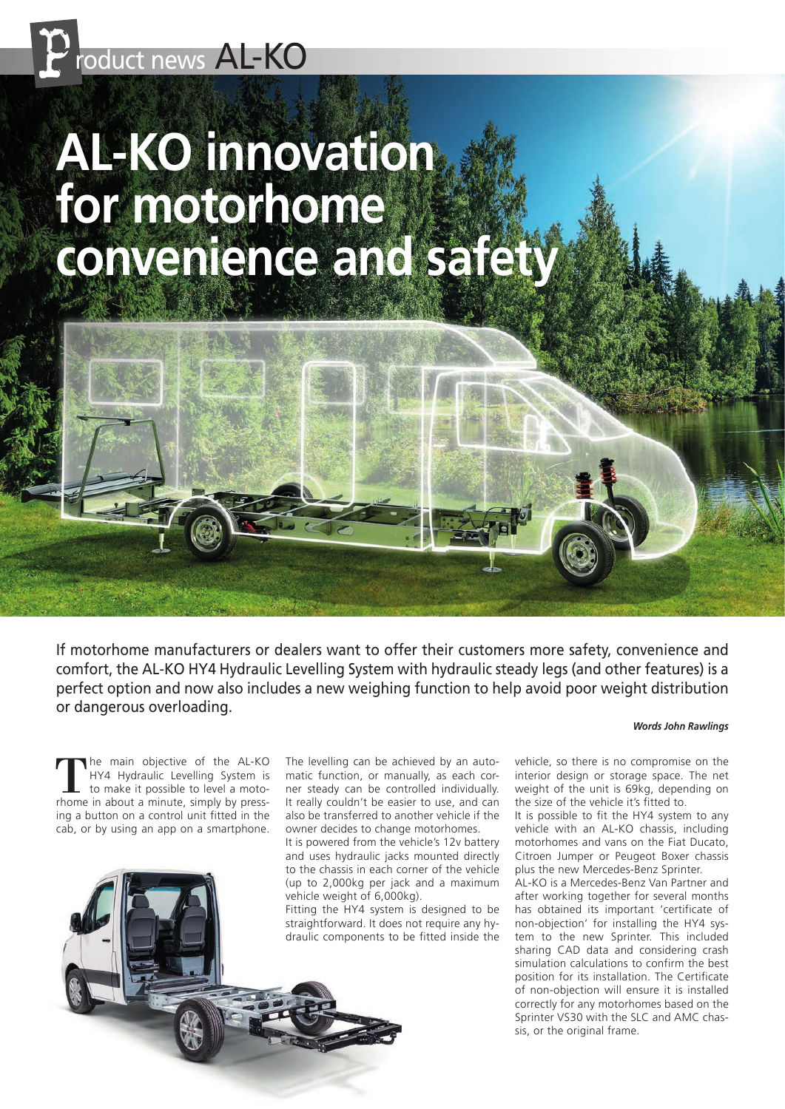

# **AL-KO innovation for motorhome convenience and safety**

If motorhome manufacturers or dealers want to offer their customers more safety, convenience and comfort, the AL-KO HY4 Hydraulic Levelling System with hydraulic steady legs (and other features) is a perfect option and now also includes a new weighing function to help avoid poor weight distribution or dangerous overloading.

#### *Words John Rawlings*

The main objective of the AL-KO HY4 Hydraulic Levelling System is to make it possible to level a motorhome in about a minute, simply by pressing a button on a control unit fitted in the cab, or by using an app on a smartphone.

58 B t o B

The levelling can be achieved by an automatic function, or manually, as each corner steady can be controlled individually. It really couldn't be easier to use, and can also be transferred to another vehicle if the owner decides to change motorhomes.

It is powered from the vehicle's 12v battery and uses hydraulic jacks mounted directly to the chassis in each corner of the vehicle (up to 2,000kg per jack and a maximum vehicle weight of 6,000kg).

Fitting the HY4 system is designed to be straightforward. It does not require any hydraulic components to be fitted inside the

vehicle, so there is no compromise on the interior design or storage space. The net weight of the unit is 69kg, depending on the size of the vehicle it's fitted to.

It is possible to fit the HY4 system to any vehicle with an AL-KO chassis, including motorhomes and vans on the Fiat Ducato, Citroen Jumper or Peugeot Boxer chassis plus the new Mercedes-Benz Sprinter.

AL-KO is a Mercedes-Benz Van Partner and after working together for several months has obtained its important 'certificate of non-objection' for installing the HY4 system to the new Sprinter. This included sharing CAD data and considering crash simulation calculations to confirm the best position for its installation. The Certificate of non-objection will ensure it is installed correctly for any motorhomes based on the Sprinter VS30 with the SLC and AMC chassis, or the original frame.